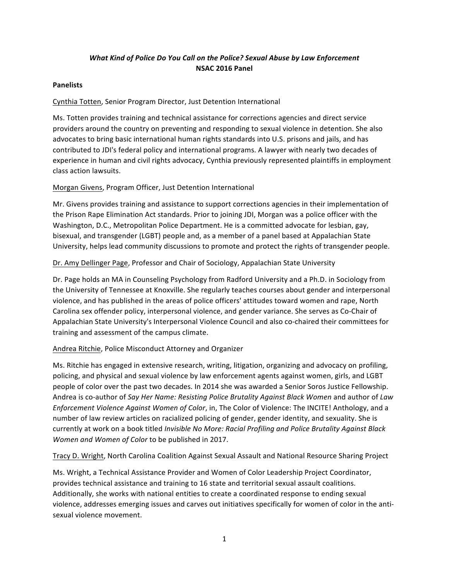# *What Kind of Police Do You Call on the Police? Sexual Abuse by Law Enforcement* **NSAC 2016 Panel**

### **Panelists**

# Cynthia Totten, Senior Program Director, Just Detention International

Ms. Totten provides training and technical assistance for corrections agencies and direct service providers around the country on preventing and responding to sexual violence in detention. She also advocates to bring basic international human rights standards into U.S. prisons and jails, and has contributed to JDI's federal policy and international programs. A lawyer with nearly two decades of experience in human and civil rights advocacy, Cynthia previously represented plaintiffs in employment class action lawsuits.

# Morgan Givens, Program Officer, Just Detention International

Mr. Givens provides training and assistance to support corrections agencies in their implementation of the Prison Rape Elimination Act standards. Prior to joining JDI, Morgan was a police officer with the Washington, D.C., Metropolitan Police Department. He is a committed advocate for lesbian, gay, bisexual, and transgender (LGBT) people and, as a member of a panel based at Appalachian State University, helps lead community discussions to promote and protect the rights of transgender people.

# Dr. Amy Dellinger Page, Professor and Chair of Sociology, Appalachian State University

Dr. Page holds an MA in Counseling Psychology from Radford University and a Ph.D. in Sociology from the University of Tennessee at Knoxville. She regularly teaches courses about gender and interpersonal violence, and has published in the areas of police officers' attitudes toward women and rape, North Carolina sex offender policy, interpersonal violence, and gender variance. She serves as Co-Chair of Appalachian State University's Interpersonal Violence Council and also co-chaired their committees for training and assessment of the campus climate.

### Andrea Ritchie, Police Misconduct Attorney and Organizer

Ms. Ritchie has engaged in extensive research, writing, litigation, organizing and advocacy on profiling, policing, and physical and sexual violence by law enforcement agents against women, girls, and LGBT people of color over the past two decades. In 2014 she was awarded a Senior Soros Justice Fellowship. Andrea is co-author of *Say Her Name: Resisting Police Brutality Against Black Women* and author of *Law Enforcement Violence Against Women of Color,* in, The Color of Violence: The INCITE! Anthology, and a number of law review articles on racialized policing of gender, gender identity, and sexuality. She is currently at work on a book titled *Invisible No More: Racial Profiling and Police Brutality Against Black Women and Women of Color to be published in 2017.* 

### Tracy D. Wright, North Carolina Coalition Against Sexual Assault and National Resource Sharing Project

Ms. Wright, a Technical Assistance Provider and Women of Color Leadership Project Coordinator, provides technical assistance and training to 16 state and territorial sexual assault coalitions. Additionally, she works with national entities to create a coordinated response to ending sexual violence, addresses emerging issues and carves out initiatives specifically for women of color in the antisexual violence movement.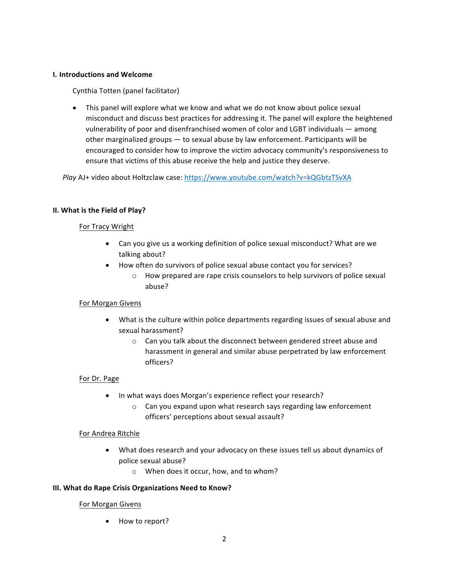### **I. Introductions and Welcome**

Cynthia Totten (panel facilitator)

• This panel will explore what we know and what we do not know about police sexual misconduct and discuss best practices for addressing it. The panel will explore the heightened vulnerability of poor and disenfranchised women of color and LGBT individuals — among other marginalized groups  $-$  to sexual abuse by law enforcement. Participants will be encouraged to consider how to improve the victim advocacy community's responsiveness to ensure that victims of this abuse receive the help and justice they deserve.

Play AJ+ video about Holtzclaw case: https://www.youtube.com/watch?v=kQGbtzTSvXA

#### **II.** What is the Field of Play?

#### For Tracy Wright

- Can you give us a working definition of police sexual misconduct? What are we talking about?
- How often do survivors of police sexual abuse contact you for services?
	- $\circ$  How prepared are rape crisis counselors to help survivors of police sexual abuse?

#### For Morgan Givens

- What is the culture within police departments regarding issues of sexual abuse and sexual harassment?
	- o Can you talk about the disconnect between gendered street abuse and harassment in general and similar abuse perpetrated by law enforcement officers?

#### For Dr. Page

- In what ways does Morgan's experience reflect your research?
	- $\circ$  Can you expand upon what research says regarding law enforcement officers' perceptions about sexual assault?

#### For Andrea Ritchie

- What does research and your advocacy on these issues tell us about dynamics of police sexual abuse?
	- $\circ$  When does it occur, how, and to whom?

#### **III. What do Rape Crisis Organizations Need to Know?**

#### For Morgan Givens

• How to report?